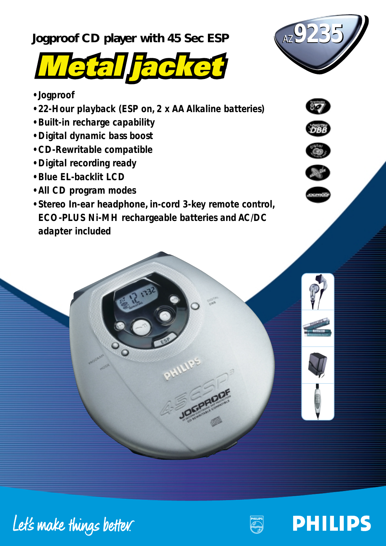**Jogproof CD player with 45 Sec ESP** 



- *Jogproof*
- *22-Hour playback (ESP on, 2 x AA Alkaline batteries)*
- *Built-in recharge capability*
- *Digital dynamic bass boost*
- *CD-Rewritable compatible*
- *Digital recording ready*
- *Blue EL-backlit LCD*
- *All CD program modes*
- *Stereo In-ear headphone, in-cord 3-key remote control, ECO-PLUS Ni-MH rechargeable batteries and AC/DC adapter included*